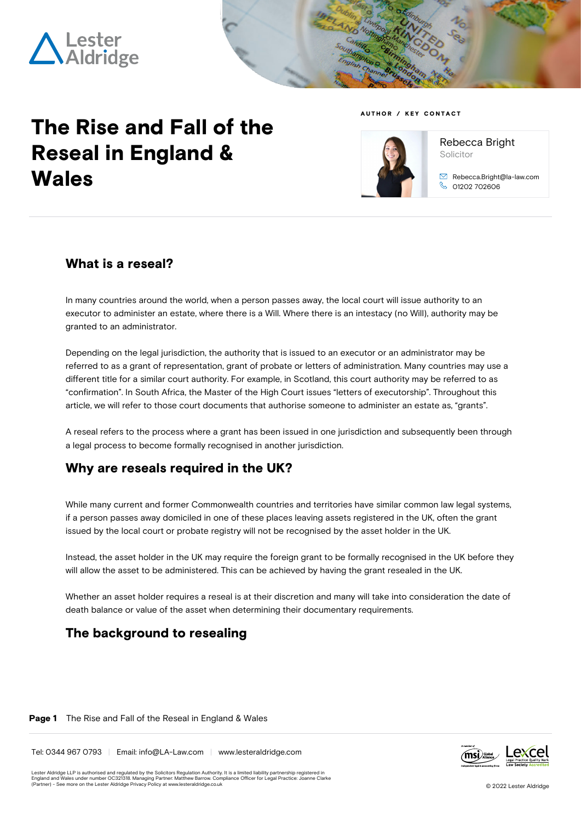



# **The Rise and Fall of the Reseal in England & Wales**

#### **AUTHOR / KEY CONTACT**



Solicitor Rebecca.Bright@la-law.com 01202 702606

Rebecca Bright

### **What is a reseal?**

In many countries around the world, when a person passes away, the local court will issue authority to an executor to administer an estate, where there is a Will. Where there is an intestacy (no Will), authority may be granted to an administrator.

Depending on the legal jurisdiction, the authority that is issued to an executor or an administrator may be referred to as a grant of representation, grant of probate or letters of administration. Many countries may use a different title for a similar court authority. For example, in Scotland, this court authority may be referred to as "confirmation". In South Africa, the Master of the High Court issues "letters of executorship". Throughout this article, we will refer to those court documents that authorise someone to administer an estate as, "grants".

A reseal refers to the process where a grant has been issued in one jurisdiction and subsequently been through a legal process to become formally recognised in another jurisdiction.

### **Why are reseals required in the UK?**

While many current and former Commonwealth countries and territories have similar common law legal systems, if a person passes away domiciled in one of these places leaving assets registered in the UK, often the grant issued by the local court or probate registry will not be recognised by the asset holder in the UK.

Instead, the asset holder in the UK may require the foreign grant to be formally recognised in the UK before they will allow the asset to be administered. This can be achieved by having the grant resealed in the UK.

Whether an asset holder requires a reseal is at their discretion and many will take into consideration the date of death balance or value of the asset when determining their documentary requirements.

### **The background to resealing**

#### **Page 1** The Rise and Fall of the Reseal in England & Wales

Tel: 0344 967 0793 | Email: info@LA-Law.com | www.lesteraldridge.com



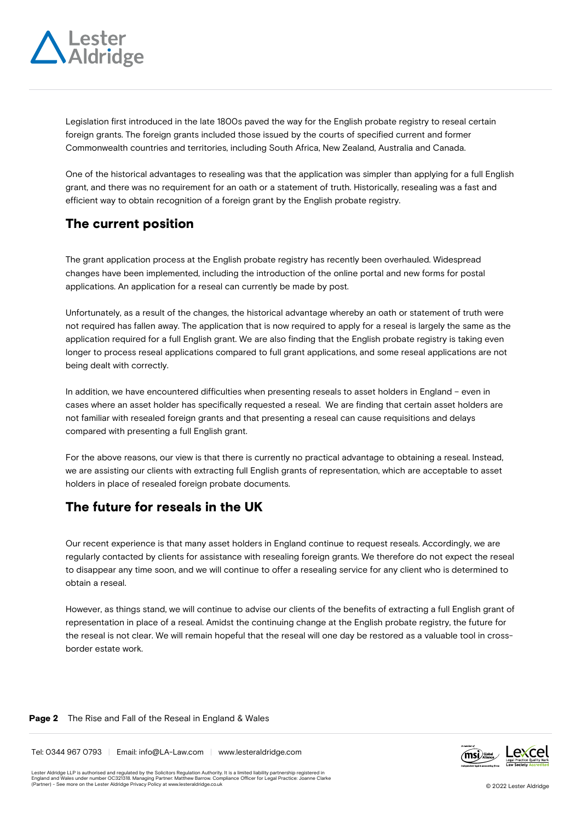

Legislation first introduced in the late 1800s paved the way for the English probate registry to reseal certain foreign grants. The foreign grants included those issued by the courts of specified current and former Commonwealth countries and territories, including South Africa, New Zealand, Australia and Canada.

One of the historical advantages to resealing was that the application was simpler than applying for a full English grant, and there was no requirement for an oath or a statement of truth. Historically, resealing was a fast and efficient way to obtain recognition of a foreign grant by the English probate registry.

### **The current position**

The grant application process at the English probate registry has recently been overhauled. Widespread changes have been implemented, including the introduction of the online portal and new forms for postal applications. An application for a reseal can currently be made by post.

Unfortunately, as a result of the changes, the historical advantage whereby an oath or statement of truth were not required has fallen away. The application that is now required to apply for a reseal is largely the same as the application required for a full English grant. We are also finding that the English probate registry is taking even longer to process reseal applications compared to full grant applications, and some reseal applications are not being dealt with correctly.

In addition, we have encountered difficulties when presenting reseals to asset holders in England – even in cases where an asset holder has specifically requested a reseal. We are finding that certain asset holders are not familiar with resealed foreign grants and that presenting a reseal can cause requisitions and delays compared with presenting a full English grant.

For the above reasons, our view is that there is currently no practical advantage to obtaining a reseal. Instead, we are assisting our clients with extracting full English grants of representation, which are acceptable to asset holders in place of resealed foreign probate documents.

# **The future for reseals in the UK**

Our recent experience is that many asset holders in England continue to request reseals. Accordingly, we are regularly contacted by clients for assistance with resealing foreign grants. We therefore do not expect the reseal to disappear any time soon, and we will continue to offer a resealing service for any client who is determined to obtain a reseal.

However, as things stand, we will continue to advise our clients of the benefits of extracting a full English grant of representation in place of a reseal. Amidst the continuing change at the English probate registry, the future for the reseal is not clear. We will remain hopeful that the reseal will one day be restored as a valuable tool in crossborder estate work.

#### **Page 2** The Rise and Fall of the Reseal in England & Wales

Tel: 0344 967 0793 | Email: info@LA-Law.com | www.lesteraldridge.com